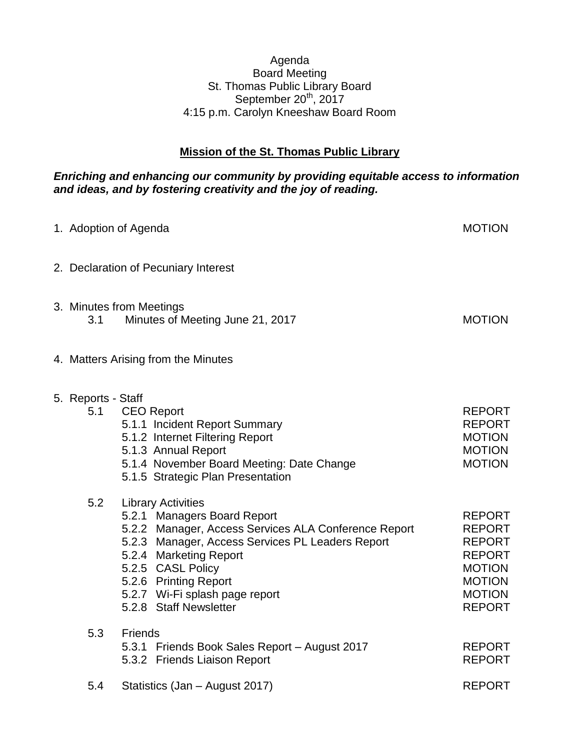## Agenda Board Meeting St. Thomas Public Library Board September 20<sup>th</sup>, 2017 4:15 p.m. Carolyn Kneeshaw Board Room

# **Mission of the St. Thomas Public Library**

# *Enriching and enhancing our community by providing equitable access to information and ideas, and by fostering creativity and the joy of reading.*

| 1. Adoption of Agenda     |                                                                                                                                                                                                                                                                                                          | <b>MOTION</b>                                                                                                                        |
|---------------------------|----------------------------------------------------------------------------------------------------------------------------------------------------------------------------------------------------------------------------------------------------------------------------------------------------------|--------------------------------------------------------------------------------------------------------------------------------------|
|                           | 2. Declaration of Pecuniary Interest                                                                                                                                                                                                                                                                     |                                                                                                                                      |
| 3.1                       | 3. Minutes from Meetings<br>Minutes of Meeting June 21, 2017                                                                                                                                                                                                                                             | <b>MOTION</b>                                                                                                                        |
|                           | 4. Matters Arising from the Minutes                                                                                                                                                                                                                                                                      |                                                                                                                                      |
| 5. Reports - Staff<br>5.1 | <b>CEO Report</b><br>5.1.1 Incident Report Summary<br>5.1.2 Internet Filtering Report<br>5.1.3 Annual Report<br>5.1.4 November Board Meeting: Date Change<br>5.1.5 Strategic Plan Presentation                                                                                                           | <b>REPORT</b><br><b>REPORT</b><br><b>MOTION</b><br><b>MOTION</b><br><b>MOTION</b>                                                    |
| 5.2                       | <b>Library Activities</b><br>5.2.1 Managers Board Report<br>5.2.2 Manager, Access Services ALA Conference Report<br>5.2.3 Manager, Access Services PL Leaders Report<br>5.2.4 Marketing Report<br>5.2.5 CASL Policy<br>5.2.6 Printing Report<br>5.2.7 Wi-Fi splash page report<br>5.2.8 Staff Newsletter | <b>REPORT</b><br><b>REPORT</b><br><b>REPORT</b><br><b>REPORT</b><br><b>MOTION</b><br><b>MOTION</b><br><b>MOTION</b><br><b>REPORT</b> |
| 5.3                       | Friends<br>5.3.1 Friends Book Sales Report - August 2017<br>5.3.2 Friends Liaison Report                                                                                                                                                                                                                 | <b>REPORT</b><br><b>REPORT</b>                                                                                                       |
| 5.4                       | Statistics (Jan - August 2017)                                                                                                                                                                                                                                                                           | <b>REPORT</b>                                                                                                                        |